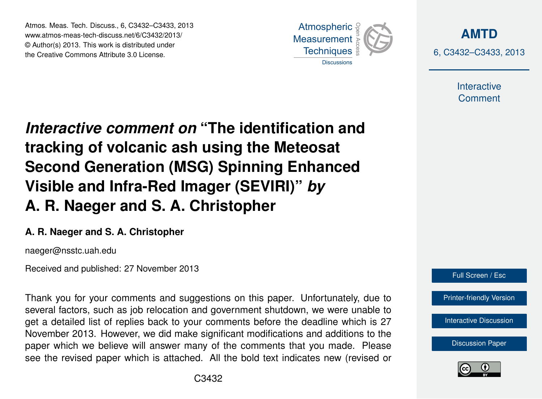Atmos. Meas. Tech. Discuss., 6, C3432–C3433, 2013 www.atmos-meas-tech-discuss.net/6/C3432/2013/ www.atmos-meas-tech-discuss.net/o/C3432/2013/<br>© Author(s) 2013. This work is distributed under the Creative Commons Attribute 3.0 License.



**[AMTD](http://www.atmos-meas-tech-discuss.net)** 6, C3432–C3433, 2013

> Interactive **Comment**

Interactive comment on "The identification and of the Indian of the Past of the Past of the Past of the Past of the Past of the Past of the Past of the Past o Open Access  $\overline{\phantom{a}}$ tracking of volcanic ash using the Meteosat  $\overline{E}$  Deal line Visible and Infra-Red Imager (SEVIRI)" *by* Open Access  $\overline{a}$ **Second Generation (MSG) Spinning Enhanced A. R. Naeger and S. A. Christopher**

## A. R. Naeger and S. A. Christopher Methods and

naeger@nsstc.uah.edu

Received and published: 27 November 2013

Thank you for your comments and suggestions on this paper. Unfortunately, due to '<br>JE  $\overline{\mathsf{v}}$ get a detailed list of replies back to your comments before the deadline which is 27 November 2013. However, we did make significant modifications and additions to the paper which we believe will answer many of the comments that you made. Please r<br>n ic<br>n see the revised paper which is attached. All the bold text indicates new (revised or several factors, such as job relocation and government shutdown, we were unable to



[Printer-friendly Version](http://www.atmos-meas-tech-discuss.net/6/C3432/2013/amtd-6-C3432-2013-print.pdf)

[Interactive Discussion](http://www.atmos-meas-tech-discuss.net/6/5577/2013/amtd-6-5577-2013-discussion.html)

[Discussion Paper](http://www.atmos-meas-tech-discuss.net/6/5577/2013/amtd-6-5577-2013.pdf)



Ocean Science